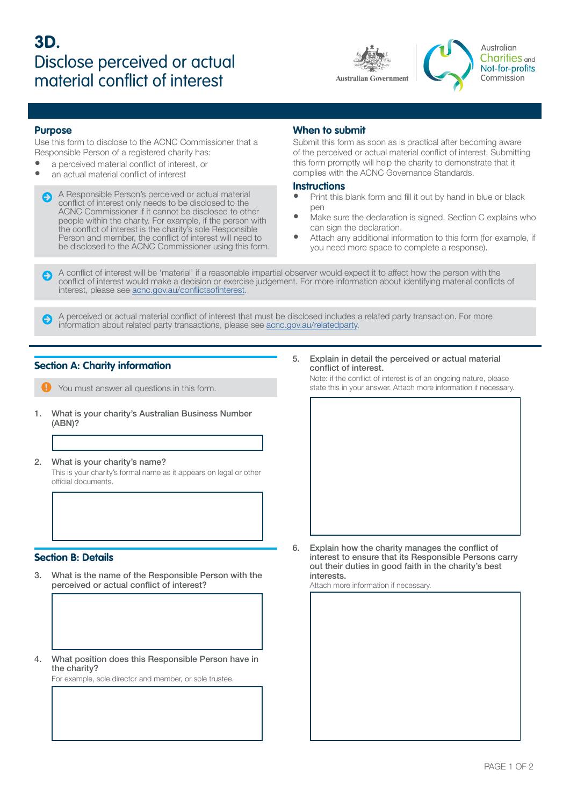

Australian **Charities** and Not-for-profits Commission

#### **Purpose**

Use this form to disclose to the ACNC Commissioner that a Responsible Person of a registered charity has:

- a perceived material conflict of interest, or
- an actual material conflict of interest

A Responsible Person's perceived or actual material conflict of interest only needs to be disclosed to the ACNC Commissioner if it cannot be disclosed to other people within the charity. For example, if the person with the conflict of interest is the charity's sole Responsible Person and member, the conflict of interest will need to be disclosed to the ACNC Commissioner using this form.

### **When to submit**

Submit this form as soon as is practical after becoming aware of the perceived or actual material conflict of interest. Submitting this form promptly will help the charity to demonstrate that it complies with the ACNC Governance Standards.

#### **Instructions**

- Print this blank form and fill it out by hand in blue or black pen
- Make sure the declaration is signed. Section C explains who can sign the declaration.
- Attach any additional information to this form (for example, if you need more space to complete a response).

A conflict of interest will be 'material' if a reasonable impartial observer would expect it to affect how the person with the conflict of interest would make a decision or exercise judgement. For more information about identifying material conflicts of interest, please see [acnc.gov.au/conflictsofinterest](http://acnc.gov.au/conflictsofinterest).

A perceived or actual material conflict of interest that must be disclosed includes a related party transaction. For more information about related party transactions, please see [acnc.gov.au/relatedparty](http://acnc.gov.au/relatedparty).

### **Section A: Charity information**

You must answer all questions in this form.

- 1. What is your charity's Australian Business Number (ABN)?
- 2. What is your charity's name?

This is your charity's formal name as it appears on legal or other official documents.

### **Section B: Details**

- 3. What is the name of the Responsible Person with the perceived or actual conflict of interest?
- 4. What position does this Responsible Person have in the charity?

For example, sole director and member, or sole trustee.

5. Explain in detail the perceived or actual material conflict of interest.

Note: if the conflict of interest is of an ongoing nature, please state this in your answer. Attach more information if necessary.



6. Explain how the charity manages the conflict of interest to ensure that its Responsible Persons carry out their duties in good faith in the charity's best interests.

Attach more information if necessary.